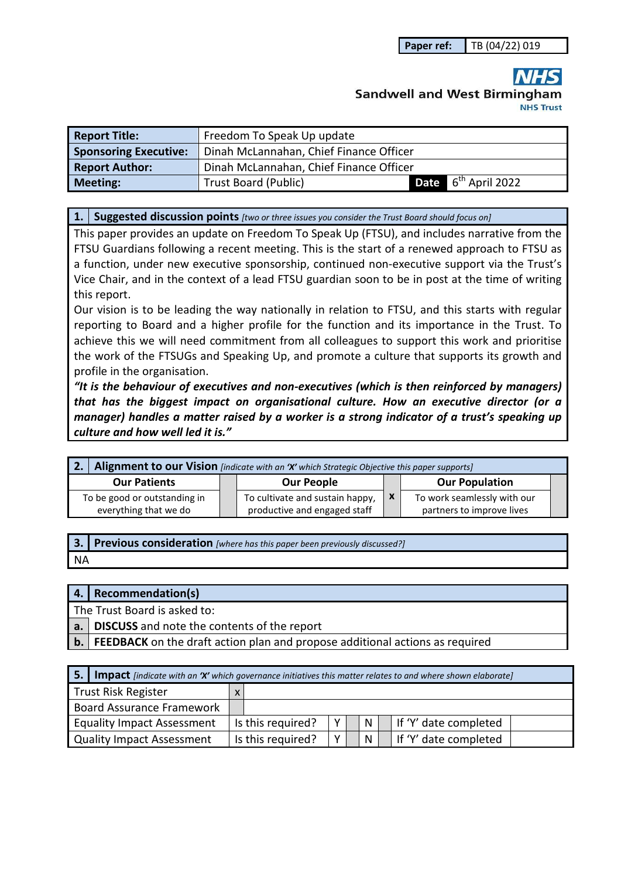# **Sandwell and West Birmingham**

| <b>Report Title:</b>         | Freedom To Speak Up update              |  |                                 |  |  |  |
|------------------------------|-----------------------------------------|--|---------------------------------|--|--|--|
| <b>Sponsoring Executive:</b> | Dinah McLannahan, Chief Finance Officer |  |                                 |  |  |  |
| <b>Report Author:</b>        | Dinah McLannahan, Chief Finance Officer |  |                                 |  |  |  |
| <b>Meeting:</b>              | <b>Trust Board (Public)</b>             |  | Date 6 <sup>th</sup> April 2022 |  |  |  |

**1. Suggested discussion points** *[two or three issues you consider the Trust Board should focus on]* 

This paper provides an update on Freedom To Speak Up (FTSU), and includes narrative from the FTSU Guardians following a recent meeting. This is the start of a renewed approach to FTSU as a function, under new executive sponsorship, continued non-executive support via the Trust's Vice Chair, and in the context of a lead FTSU guardian soon to be in post at the time of writing this report.

Our vision is to be leading the way nationally in relation to FTSU, and this starts with regular reporting to Board and a higher profile for the function and its importance in the Trust. To achieve this we will need commitment from all colleagues to support this work and prioritise the work of the FTSUGs and Speaking Up, and promote a culture that supports its growth and profile in the organisation.

*"It is the behaviour of executives and non-executives (which is then reinforced by managers) that has the biggest impact on organisational culture. How an executive director (or a manager) handles a matter raised by a worker is a strong indicator of a trust's speaking up culture and how well led it is."* 

| 2. Alignment to our Vision [indicate with an 'X' which Strategic Objective this paper supports] |  |                                 |  |                             |  |  |
|-------------------------------------------------------------------------------------------------|--|---------------------------------|--|-----------------------------|--|--|
| <b>Our Patients</b>                                                                             |  | <b>Our People</b>               |  | <b>Our Population</b>       |  |  |
| To be good or outstanding in                                                                    |  | To cultivate and sustain happy, |  | To work seamlessly with our |  |  |
| everything that we do                                                                           |  | productive and engaged staff    |  | partners to improve lives   |  |  |

**3. Previous consideration** *[where has this paper been previously discussed?]*

NA

## **4. Recommendation(s)**

The Trust Board is asked to:

**a. DISCUSS** and note the contents of the report

**b. FEEDBACK** on the draft action plan and propose additional actions as required

| <b>5.</b> Impact [indicate with an 'X' which governance initiatives this matter relates to and where shown elaborate] |  |                   |             |  |              |                       |
|-----------------------------------------------------------------------------------------------------------------------|--|-------------------|-------------|--|--------------|-----------------------|
| Trust Risk Register                                                                                                   |  |                   |             |  |              |                       |
| Board Assurance Framework                                                                                             |  |                   |             |  |              |                       |
| <b>Equality Impact Assessment</b>                                                                                     |  | Is this required? | v           |  | $\mathsf{N}$ | If 'Y' date completed |
| Quality Impact Assessment                                                                                             |  | Is this required? | $\mathbf v$ |  | <b>N</b>     | If 'Y' date completed |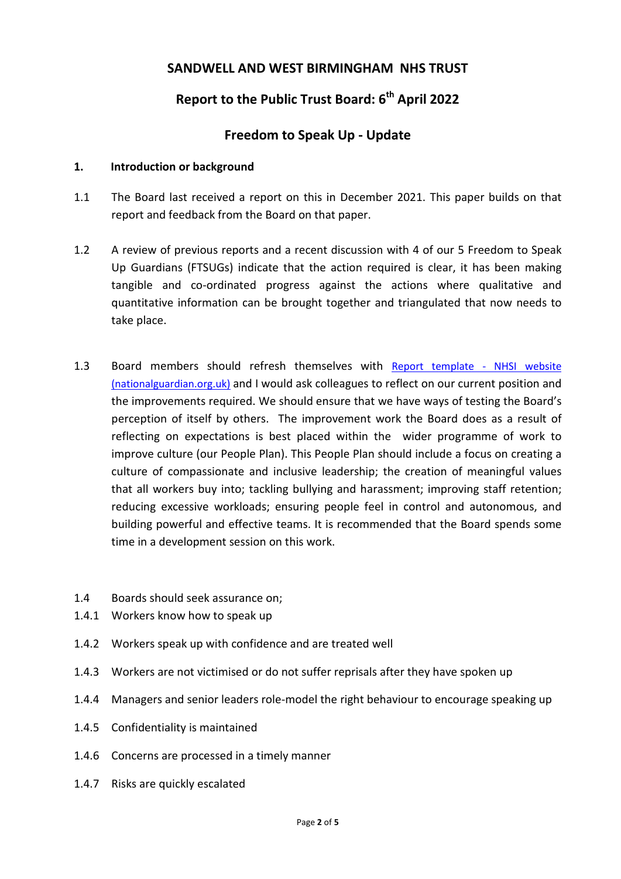# **SANDWELL AND WEST BIRMINGHAM NHS TRUST**

# **Report to the Public Trust Board: 6th April 2022**

# **Freedom to Speak Up - Update**

#### **1. Introduction or background**

- 1.1 The Board last received a report on this in December 2021. This paper builds on that report and feedback from the Board on that paper.
- 1.2 A review of previous reports and a recent discussion with 4 of our 5 Freedom to Speak Up Guardians (FTSUGs) indicate that the action required is clear, it has been making tangible and co-ordinated progress against the actions where qualitative and quantitative information can be brought together and triangulated that now needs to take place.
- 1.3 Board members should refresh themselves with Report template NHSI website (nationalguardian.org.uk) and I would ask colleagues to reflect on our current position and the improvements required. We should ensure that we have ways of testing the Board's perception of itself by others. The improvement work the Board does as a result of reflecting on expectations is best placed within the wider programme of work to improve culture (our People Plan). This People Plan should include a focus on creating a culture of compassionate and inclusive leadership; the creation of meaningful values that all workers buy into; tackling bullying and harassment; improving staff retention; reducing excessive workloads; ensuring people feel in control and autonomous, and building powerful and effective teams. It is recommended that the Board spends some time in a development session on this work.
- 1.4 Boards should seek assurance on;
- 1.4.1 Workers know how to speak up
- 1.4.2 Workers speak up with confidence and are treated well
- 1.4.3 Workers are not victimised or do not suffer reprisals after they have spoken up
- 1.4.4 Managers and senior leaders role-model the right behaviour to encourage speaking up
- 1.4.5 Confidentiality is maintained
- 1.4.6 Concerns are processed in a timely manner
- 1.4.7 Risks are quickly escalated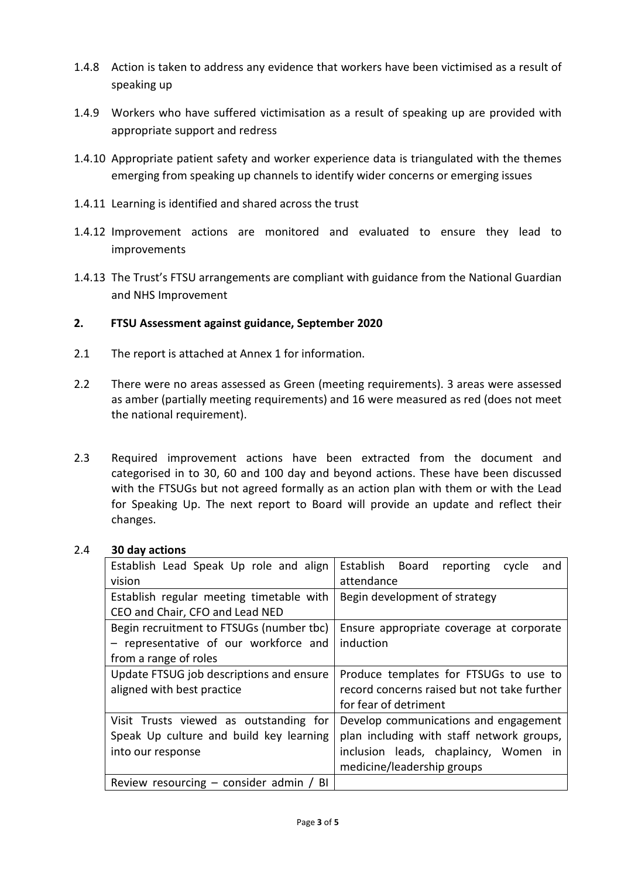- 1.4.8 Action is taken to address any evidence that workers have been victimised as a result of speaking up
- 1.4.9 Workers who have suffered victimisation as a result of speaking up are provided with appropriate support and redress
- 1.4.10 Appropriate patient safety and worker experience data is triangulated with the themes emerging from speaking up channels to identify wider concerns or emerging issues
- 1.4.11 Learning is identified and shared across the trust
- 1.4.12 Improvement actions are monitored and evaluated to ensure they lead to improvements
- 1.4.13 The Trust's FTSU arrangements are compliant with guidance from the National Guardian and NHS Improvement

# **2. FTSU Assessment against guidance, September 2020**

- 2.1 The report is attached at Annex 1 for information.
- 2.2 There were no areas assessed as Green (meeting requirements). 3 areas were assessed as amber (partially meeting requirements) and 16 were measured as red (does not meet the national requirement).
- 2.3 Required improvement actions have been extracted from the document and categorised in to 30, 60 and 100 day and beyond actions. These have been discussed with the FTSUGs but not agreed formally as an action plan with them or with the Lead for Speaking Up. The next report to Board will provide an update and reflect their changes.

# 2.4 **30 day actions**

| Establish Lead Speak Up role and align<br>vision                            | Establish Board<br>reporting<br>cycle<br>and<br>attendance |
|-----------------------------------------------------------------------------|------------------------------------------------------------|
| Establish regular meeting timetable with<br>CEO and Chair, CFO and Lead NED | Begin development of strategy                              |
|                                                                             |                                                            |
| Begin recruitment to FTSUGs (number tbc)                                    | Ensure appropriate coverage at corporate                   |
| - representative of our workforce and                                       | induction                                                  |
| from a range of roles                                                       |                                                            |
| Update FTSUG job descriptions and ensure                                    | Produce templates for FTSUGs to use to                     |
| aligned with best practice                                                  | record concerns raised but not take further                |
|                                                                             | for fear of detriment                                      |
| Visit Trusts viewed as outstanding for                                      | Develop communications and engagement                      |
| Speak Up culture and build key learning                                     | plan including with staff network groups,                  |
| into our response                                                           | inclusion leads, chaplaincy, Women in                      |
|                                                                             | medicine/leadership groups                                 |
| Review resourcing $-$ consider admin / BI                                   |                                                            |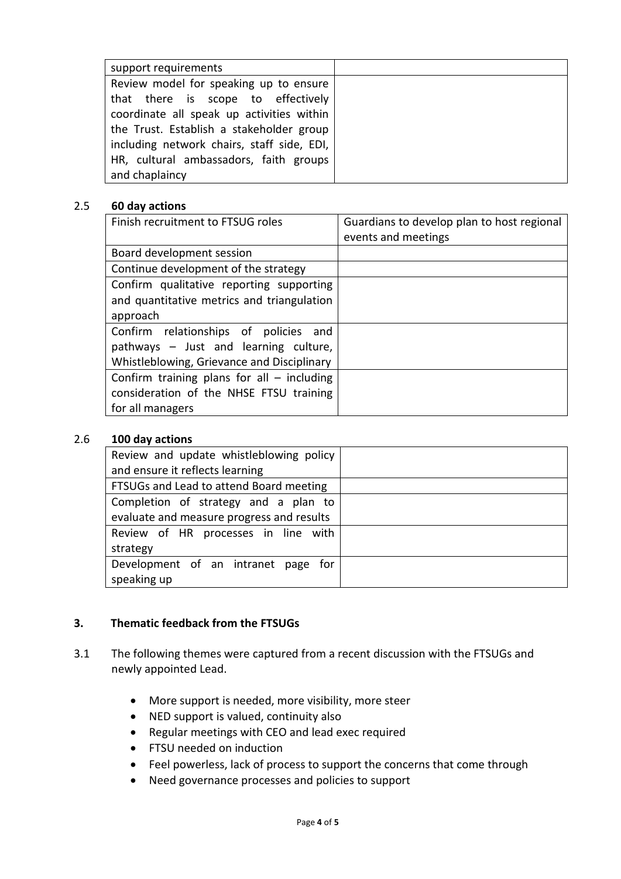| support requirements                       |  |
|--------------------------------------------|--|
| Review model for speaking up to ensure     |  |
| that there is scope to effectively         |  |
| coordinate all speak up activities within  |  |
| the Trust. Establish a stakeholder group   |  |
| including network chairs, staff side, EDI, |  |
| HR, cultural ambassadors, faith groups     |  |
| and chaplaincy                             |  |

#### 2.5 **60 day actions**

| Finish recruitment to FTSUG roles                                                                                               | Guardians to develop plan to host regional<br>events and meetings |
|---------------------------------------------------------------------------------------------------------------------------------|-------------------------------------------------------------------|
| Board development session                                                                                                       |                                                                   |
| Continue development of the strategy                                                                                            |                                                                   |
| Confirm qualitative reporting supporting<br>and quantitative metrics and triangulation<br>approach                              |                                                                   |
| Confirm relationships of policies<br>and<br>pathways - Just and learning culture,<br>Whistleblowing, Grievance and Disciplinary |                                                                   |
| Confirm training plans for all $-$ including<br>consideration of the NHSE FTSU training<br>for all managers                     |                                                                   |

#### 2.6 **100 day actions**

| Review and update whistleblowing policy   |  |
|-------------------------------------------|--|
| and ensure it reflects learning           |  |
| FTSUGs and Lead to attend Board meeting   |  |
| Completion of strategy and a plan to      |  |
| evaluate and measure progress and results |  |
| Review of HR processes in line with       |  |
| strategy                                  |  |
| Development of an intranet page for       |  |
| speaking up                               |  |

# **3. Thematic feedback from the FTSUGs**

- 3.1 The following themes were captured from a recent discussion with the FTSUGs and newly appointed Lead.
	- More support is needed, more visibility, more steer
	- NED support is valued, continuity also
	- Regular meetings with CEO and lead exec required
	- FTSU needed on induction
	- Feel powerless, lack of process to support the concerns that come through
	- Need governance processes and policies to support